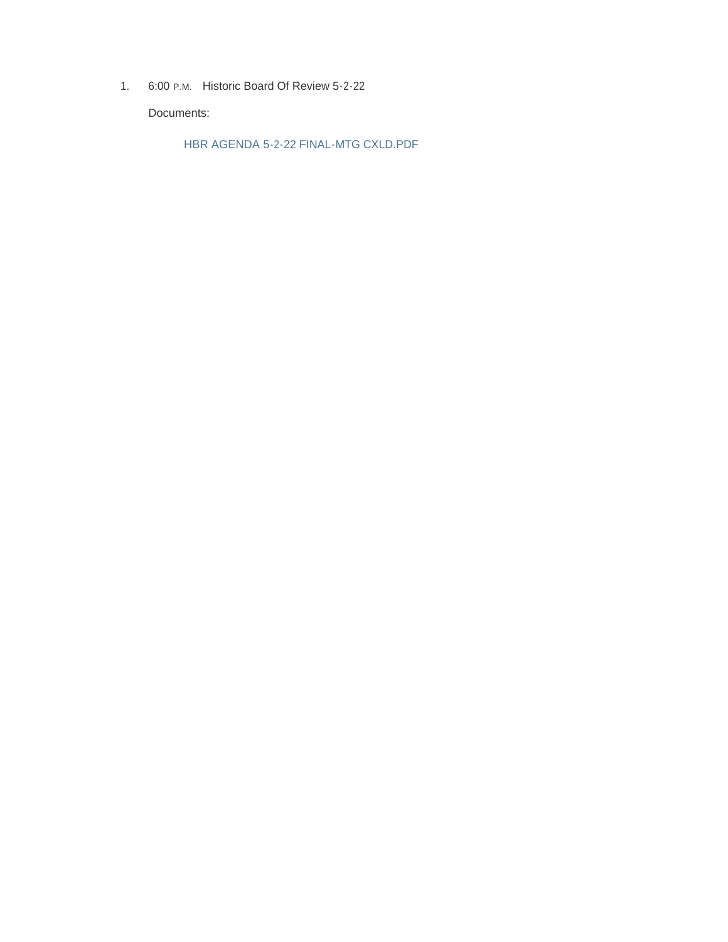1. 6:00 P.M. Historic Board Of Review 5-2-22

Documents:

HBR AGENDA 5-2-22 FINAL-MTG CXLD.PDF